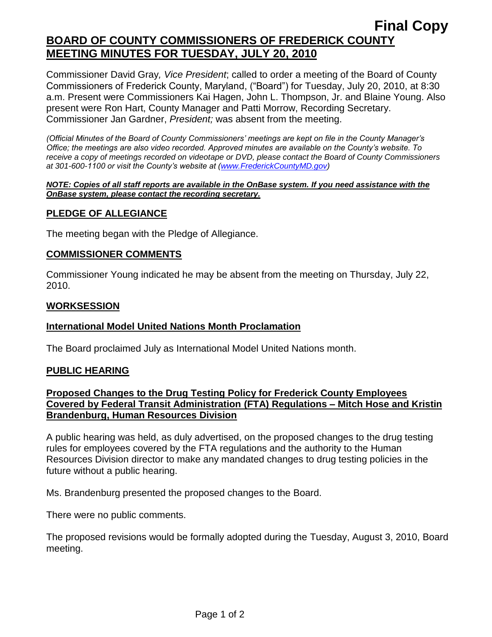## **BOARD OF COUNTY COMMISSIONERS OF FREDERICK COUNTY MEETING MINUTES FOR TUESDAY, JULY 20, 2010**

Commissioner David Gray*, Vice President*; called to order a meeting of the Board of County Commissioners of Frederick County, Maryland, ("Board") for Tuesday, July 20, 2010, at 8:30 a.m. Present were Commissioners Kai Hagen, John L. Thompson, Jr. and Blaine Young. Also present were Ron Hart, County Manager and Patti Morrow, Recording Secretary. Commissioner Jan Gardner, *President;* was absent from the meeting.

*(Official Minutes of the Board of County Commissioners' meetings are kept on file in the County Manager's Office; the meetings are also video recorded. Approved minutes are available on the County's website. To receive a copy of meetings recorded on videotape or DVD, please contact the Board of County Commissioners at 301-600-1100 or visit the County's website at [\(www.FrederickCountyMD.gov\)](http://www.frederickcountymd.gov/)*

#### *NOTE: Copies of all staff reports are available in the OnBase system. If you need assistance with the OnBase system, please contact the recording secretary.*

### **PLEDGE OF ALLEGIANCE**

The meeting began with the Pledge of Allegiance.

### **COMMISSIONER COMMENTS**

Commissioner Young indicated he may be absent from the meeting on Thursday, July 22, 2010.

#### **WORKSESSION**

#### **International Model United Nations Month Proclamation**

The Board proclaimed July as International Model United Nations month.

#### **PUBLIC HEARING**

## **Proposed Changes to the Drug Testing Policy for Frederick County Employees Covered by Federal Transit Administration (FTA) Regulations – Mitch Hose and Kristin Brandenburg, Human Resources Division**

A public hearing was held, as duly advertised, on the proposed changes to the drug testing rules for employees covered by the FTA regulations and the authority to the Human Resources Division director to make any mandated changes to drug testing policies in the future without a public hearing.

Ms. Brandenburg presented the proposed changes to the Board.

There were no public comments.

The proposed revisions would be formally adopted during the Tuesday, August 3, 2010, Board meeting.